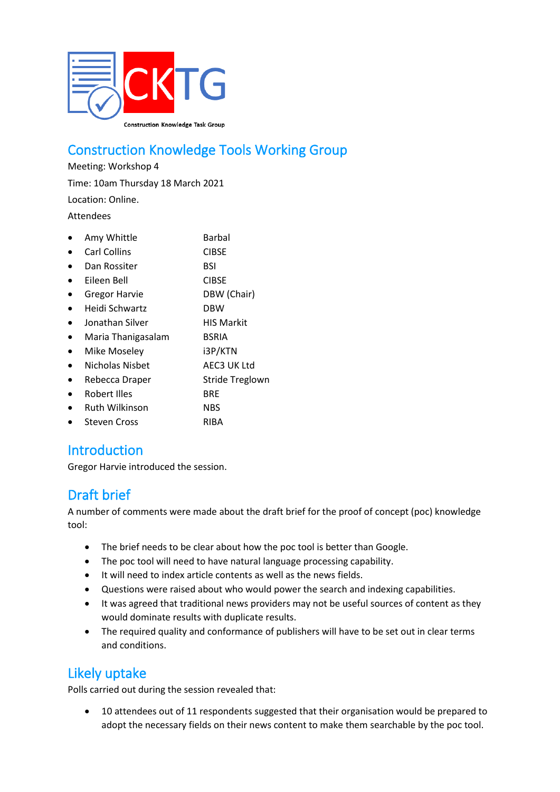

# Construction Knowledge Tools Working Group

Meeting: Workshop 4 Time: 10am Thursday 18 March 2021

Location: Online.

Attendees

| Amy Whittle          | Barbal                 |
|----------------------|------------------------|
| <b>Carl Collins</b>  | <b>CIBSE</b>           |
| Dan Rossiter         | BSI                    |
| Eileen Bell          | <b>CIBSE</b>           |
| <b>Gregor Harvie</b> | DBW (Chair)            |
| Heidi Schwartz       | <b>DBW</b>             |
| Jonathan Silver      | <b>HIS Markit</b>      |
| Maria Thanigasalam   | <b>BSRIA</b>           |
| Mike Moseley         | i3P/KTN                |
| Nicholas Nisbet      | AEC3 UK Ltd            |
| Rebecca Draper       | <b>Stride Treglown</b> |
| Robert Illes         | <b>BRE</b>             |
| Ruth Wilkinson       | <b>NBS</b>             |
| Steven Cross         | RIBA                   |
|                      |                        |

### **Introduction**

Gregor Harvie introduced the session.

# Draft brief

A number of comments were made about the draft brief for the proof of concept (poc) knowledge tool:

- The brief needs to be clear about how the poc tool is better than Google.
- The poc tool will need to have natural language processing capability.
- It will need to index article contents as well as the news fields.
- Questions were raised about who would power the search and indexing capabilities.
- It was agreed that traditional news providers may not be useful sources of content as they would dominate results with duplicate results.
- The required quality and conformance of publishers will have to be set out in clear terms and conditions.

# Likely uptake

Polls carried out during the session revealed that:

• 10 attendees out of 11 respondents suggested that their organisation would be prepared to adopt the necessary fields on their news content to make them searchable by the poc tool.